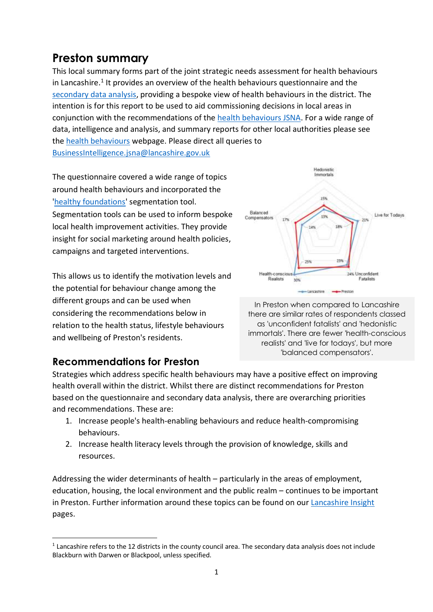# **Preston summary**

This local summary forms part of the joint strategic needs assessment for health behaviours in Lancashire.<sup>1</sup> It provides an overview of the health behaviours questionnaire and the [secondary data analysis,](http://www.lancashire.gov.uk/media/901334/health-behaviours-jsna-secondary-data-analysis-february-2015-updated.pdf) providing a bespoke view of health behaviours in the district. The intention is for this report to be used to aid commissioning decisions in local areas in conjunction with the recommendations of the [health behaviours JSNA.](http://www.lancashire.gov.uk/lancashire-insight/health-and-care/lifestyle/lifestyle-overview.aspx) For a wide range of data, intelligence and analysis, and summary reports for other local authorities please see the [health behaviours](http://www.lancashire.gov.uk/lancashire-insight/health-and-care/lifestyle/lifestyle-overview.aspx) webpage. Please direct all queries to [BusinessIntelligence.jsna@lancashire.gov.uk](mailto:BusinessIntelligence.jsna@lancashire.gov.uk)

The questionnaire covered a wide range of topics around health behaviours and incorporated the ['healthy foundations'](http://www.cancerresearchuk.org/cancer-info/prod_consump/groups/cr_common/@nre/@hea/documents/generalcontent/cr_045215.pdf) segmentation tool. Segmentation tools can be used to inform bespoke local health improvement activities. They provide insight for social marketing around health policies, campaigns and targeted interventions.

This allows us to identify the motivation levels and the potential for behaviour change among the different groups and can be used when considering the recommendations below in relation to the health status, lifestyle behaviours and wellbeing of Preston's residents.



In Preston when compared to Lancashire there are similar rates of respondents classed as 'unconfident fatalists' and 'hedonistic immortals'. There are fewer 'health-conscious realists' and 'live for todays', but more 'balanced compensators'.

## **Recommendations for Preston**

Strategies which address specific health behaviours may have a positive effect on improving health overall within the district. Whilst there are distinct recommendations for Preston based on the questionnaire and secondary data analysis, there are overarching priorities and recommendations. These are:

- 1. Increase people's health-enabling behaviours and reduce health-compromising behaviours.
- 2. Increase health literacy levels through the provision of knowledge, skills and resources.

Addressing the wider determinants of health – particularly in the areas of employment, education, housing, the local environment and the public realm – continues to be important in Preston. Further information around these topics can be found on our [Lancashire Insight](http://www.lancashire.gov.uk/lancashire-insight/health-and-care/overview.aspx) pages.

<sup>1</sup>  $1$  Lancashire refers to the 12 districts in the county council area. The secondary data analysis does not include Blackburn with Darwen or Blackpool, unless specified.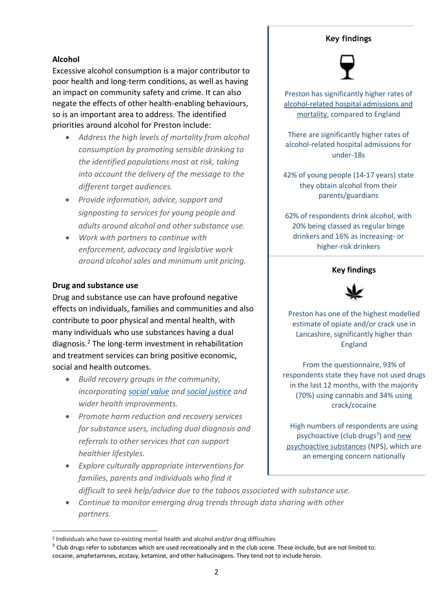## **Key findings**

## **Alcohol**

Excessive alcohol consumption is a major contributor to poor health and long-term conditions, as well as having an impact on community safety and crime. It can also negate the effects of other health-enabling behaviours, so is an important area to address. The identified priorities around alcohol for Preston include:

- *Address the high levels of mortality from alcohol consumption by promoting sensible drinking to the identified populations most at risk, taking into account the delivery of the message to the different target audiences.*
- *Provide information, advice, support and signposting to services for young people and adults around alcohol and other substance use.*
- *Work with partners to continue with enforcement, advocacy and legislative work around alcohol sales and minimum unit pricing.*

## **Drug and substance use**

-

Drug and substance use can have profound negative effects on individuals, families and communities and also contribute to poor physical and mental health, with many individuals who use substances having a dual diagnosis.<sup>2</sup> The long-term investment in rehabilitation and treatment services can bring positive economic, social and health outcomes.

- *Build recovery groups in the community, incorporatin[g social value](http://www.adfam.org.uk/cms/docs/Social_Value_Act_briefing.pdf) and [social justice](http://www.centreforsocialjustice.org.uk/) and wider health improvements.*
- *Promote harm reduction and recovery services for substance users, including dual diagnosis and referrals to other services that can support healthier lifestyles.*
- *Explore culturally appropriate interventions for families, parents and individuals who find it difficult to seek help/advice due to the taboos associated with substance use.*
- *Continue to monitor emerging drug trends through data sharing with other partners.<sup>3</sup>*

Preston has significantly higher rates of [alcohol-related hospital admissions and](http://fingertips.phe.org.uk/profile/local-alcohol-profiles)  [mortality,](http://fingertips.phe.org.uk/profile/local-alcohol-profiles) compared to England

There are significantly higher rates of alcohol-related hospital admissions for under-18s

42% of young people (14-17 years) state they obtain alcohol from their parents/guardians

62% of respondents drink alcohol, with 20% being classed as regular binge drinkers and 16% as increasing- or higher-risk drinkers

#### **Key findings**



Preston has one of the highest modelled estimate of opiate and/or crack use in Lancashire, significantly higher than England

From the questionnaire, 93% of respondents state they have not used drugs in the last 12 months, with the majority (70%) using cannabis and 34% using crack/cocaine

High numbers of respondents are using psychoactive (club drugs<sup>3</sup>) and new [psychoactive substances](http://www.nta.nhs.uk/uploads/nps-a-toolkit-for-substance-misuse-commissioners.pdf) (NPS), which are an emerging concern nationally

<sup>2</sup> Individuals who have co-existing mental health and alcohol and/or drug difficulties

<sup>&</sup>lt;sup>3</sup> Club drugs refer to substances which are used recreationally and in the club scene. These include, but are not limited to: cocaine, amphetamines, ecstasy, ketamine, and other hallucinogens. They tend not to include heroin.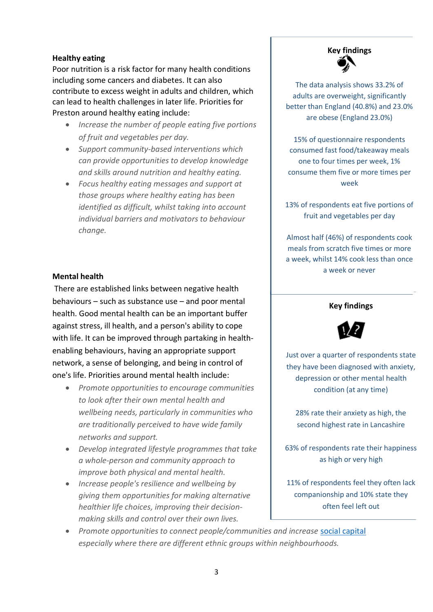#### **Healthy eating**

Poor nutrition is a risk factor for many health conditions including some cancers and diabetes. It can also contribute to excess weight in adults and children, which can lead to health challenges in later life. Priorities for Preston around healthy eating include:

- *Increase the number of people eating five portions of fruit and vegetables per day.*
- *Support community-based interventions which can provide opportunities to develop knowledge and skills around nutrition and healthy eating.*
- *Focus healthy eating messages and support at those groups where healthy eating has been identified as difficult, whilst taking into account individual barriers and motivators to behaviour change.*

#### **Mental health**

There are established links between negative health behaviours – such as substance use – and poor mental health. Good mental health can be an important buffer against stress, ill health, and a person's ability to cope with life. It can be improved through partaking in healthenabling behaviours, having an appropriate support network, a sense of belonging, and being in control of one's life. Priorities around mental health include:

- *Promote opportunities to encourage communities to look after their own mental health and wellbeing needs, particularly in communities who are traditionally perceived to have wide family networks and support.*
- *Develop integrated lifestyle programmes that take a whole-person and community approach to improve both physical and mental health.*
- *Increase people's resilience and wellbeing by giving them opportunities for making alternative healthier life choices, improving their decisionmaking skills and control over their own lives.*



The data analysis shows 33.2% of adults are overweight, significantly better than England (40.8%) and 23.0% are obese (England 23.0%)

15% of questionnaire respondents consumed fast food/takeaway meals one to four times per week, 1% consume them five or more times per week

13% of respondents eat five portions of fruit and vegetables per day

Almost half (46%) of respondents cook meals from scratch five times or more a week, whilst 14% cook less than once a week or never

#### **Key findings**



Just over a quarter of respondents state they have been diagnosed with anxiety, depression or other mental health condition (at any time)

28% rate their anxiety as high, the second highest rate in Lancashire

63% of respondents rate their happiness as high or very high

11% of respondents feel they often lack companionship and 10% state they often feel left out

 *Promote opportunities to connect people/communities and increase* [social capital](http://www3.lancashire.gov.uk/corporate/web/?siteid=6122&pageid=35497&e=e) *especially where there are different ethnic groups within neighbourhoods.*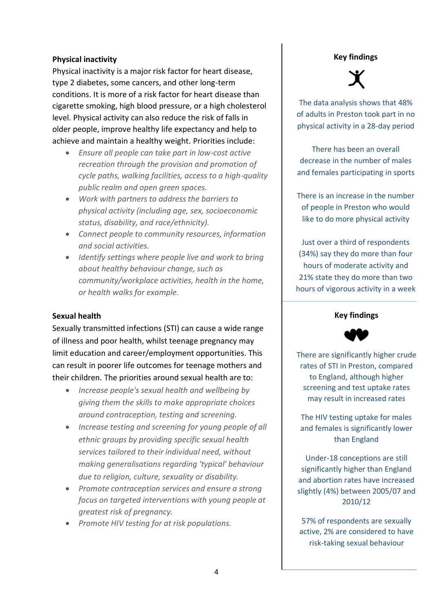#### **Physical inactivity**

Physical inactivity is a major risk factor for heart disease, type 2 diabetes, some cancers, and other long-term conditions. It is more of a risk factor for heart disease than cigarette smoking, high blood pressure, or a high cholesterol level. Physical activity can also reduce the risk of falls in older people, improve healthy life expectancy and help to achieve and maintain a healthy weight. Priorities include:

- *Ensure all people can take part in low-cost active recreation through the provision and promotion of cycle paths, walking facilities, access to a high-quality public realm and open green spaces.*
- *Work with partners to address the barriers to physical activity (including age, sex, socioeconomic status, disability, and race/ethnicity).*
- *Connect people to community resources, information and social activities.*
- *Identify settings where people live and work to bring about healthy behaviour change, such as community/workplace activities, health in the home, or health walks for example.*

#### **Sexual health**

Sexually transmitted infections (STI) can cause a wide range of illness and poor health, whilst teenage pregnancy may limit education and career/employment opportunities. This can result in poorer life outcomes for teenage mothers and their children. The priorities around sexual health are to:

- *Increase people's sexual health and wellbeing by giving them the skills to make appropriate choices around contraception, testing and screening.*
- *Increase testing and screening for young people of all ethnic groups by providing specific sexual health services tailored to their individual need, without making generalisations regarding 'typical' behaviour due to religion, culture, sexuality or disability.*
- *Promote contraception services and ensure a strong focus on targeted interventions with young people at greatest risk of pregnancy.*
- *Promote HIV testing for at risk populations.*

#### **Key findings**



The data analysis shows that 48% of adults in Preston took part in no physical activity in a 28-day period

There has been an overall decrease in the number of males and females participating in sports

There is an increase in the number of people in Preston who would like to do more physical activity

Just over a third of respondents (34%) say they do more than four hours of moderate activity and 21% state they do more than two hours of vigorous activity in a week

#### **Key findings**



There are significantly higher crude rates of STI in Preston, compared to England, although higher screening and test uptake rates may result in increased rates

The HIV testing uptake for males and females is significantly lower than England

Under-18 conceptions are still significantly higher than England and abortion rates have increased slightly (4%) between 2005/07 and 2010/12

57% of respondents are sexually active, 2% are considered to have risk-taking sexual behaviour